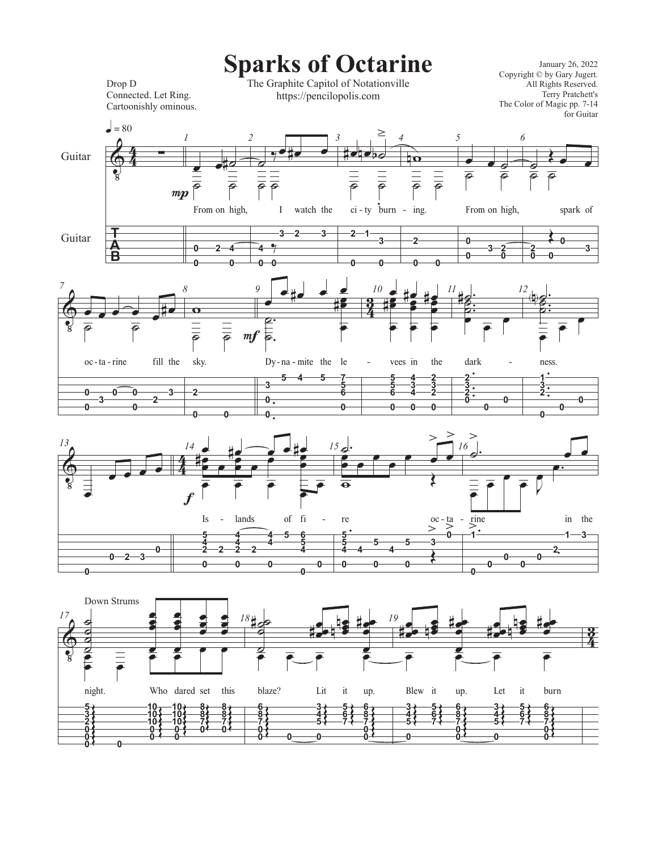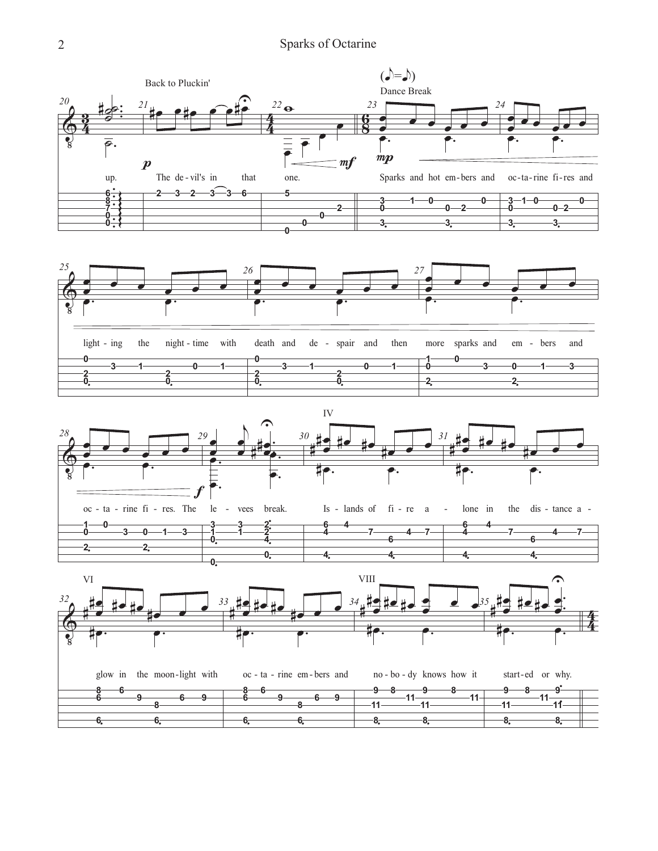